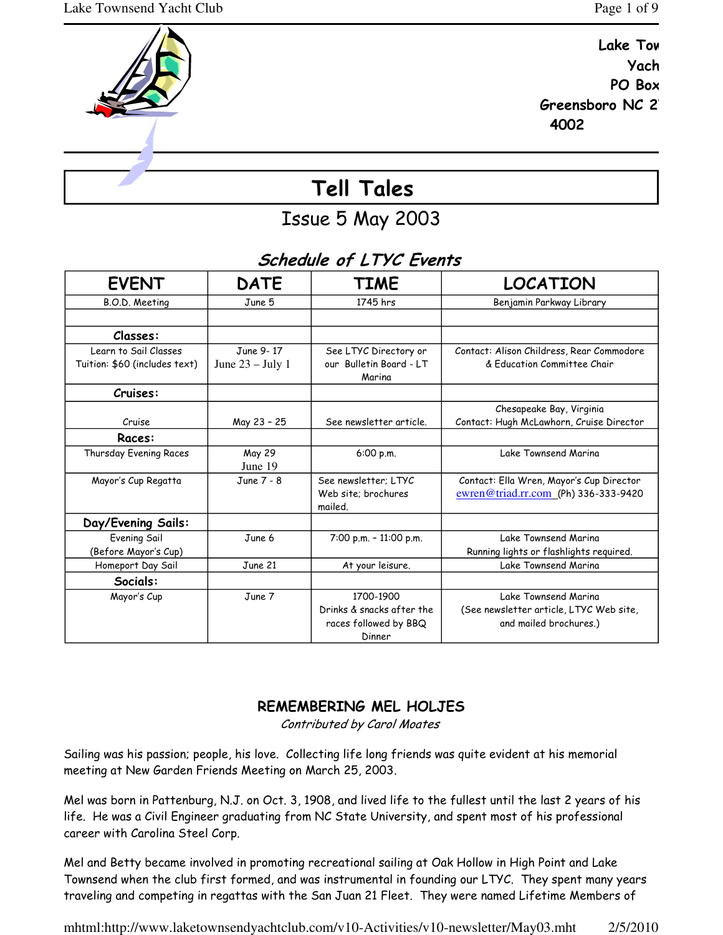Yach



Issue 5 May 2003

# Schedule of LTYC Events

| <b>EVENT</b>                                           | <b>DATE</b>                     | <b>TIME</b>                                                               | <b>LOCATION</b>                                                                                                                |
|--------------------------------------------------------|---------------------------------|---------------------------------------------------------------------------|--------------------------------------------------------------------------------------------------------------------------------|
| B.O.D. Meeting                                         | June 5                          | 1745 hrs                                                                  | Benjamin Parkway Library                                                                                                       |
|                                                        |                                 |                                                                           |                                                                                                                                |
| Classes:                                               |                                 |                                                                           |                                                                                                                                |
| Learn to Sail Classes<br>Tuition: \$60 (includes text) | June 9-17<br>June $23 -$ July 1 | See LTYC Directory or<br>our Bulletin Board - LT<br>Marina                | Contact: Alison Childress, Rear Commodore<br>& Fducation Committee Chair                                                       |
| Cruises:                                               |                                 |                                                                           |                                                                                                                                |
| Cruise                                                 | May 23 - 25                     | See newsletter article.                                                   | Chesapeake Bay, Virginia<br>Contact: Hugh McLawhorn, Cruise Director                                                           |
| Races:                                                 |                                 |                                                                           |                                                                                                                                |
| Thursday Evening Races                                 | May 29<br>June 19               | 6:00 p.m.                                                                 | Lake Townsend Marina                                                                                                           |
| Mayor's Cup Regatta                                    | June 7 - 8                      | See newsletter: LTYC<br>Web site: brochures<br>mailed.                    | Contact: Ella Wren, Mayor's Cup Director<br>$\frac{\text{ewren}\textcircled{a}\text{triad.rr.com}}{(\text{Ph})\,336-333-9420}$ |
| Day/Evening Sails:                                     |                                 |                                                                           |                                                                                                                                |
| Evening Sail<br>(Before Mayor's Cup)                   | June 6                          | $7:00$ p.m. $-11:00$ p.m.                                                 | Lake Townsend Marina<br>Running lights or flashlights required.                                                                |
| Homeport Day Sail                                      | June 21                         | At your leisure.                                                          | Lake Townsend Marina                                                                                                           |
| Socials:                                               |                                 |                                                                           |                                                                                                                                |
| Mayor's Cup                                            | June 7                          | 1700-1900<br>Drinks & snacks after the<br>races followed by BBQ<br>Dinner | Lake Townsend Marina<br>(See newsletter article, LTYC Web site,<br>and mailed brochures.)                                      |

# REMEMBERING MEL HOLJES

Contributed by Carol Moates

Sailing was his passion; people, his love. Collecting life long friends was quite evident at his memorial meeting at New Garden Friends Meeting on March 25, 2003.

Mel was born in Pattenburg, N.J. on Oct. 3, 1908, and lived life to the fullest until the last 2 years of his life. He was a Civil Engineer graduating from NC State University, and spent most of his professional career with Carolina Steel Corp.

Mel and Betty became involved in promoting recreational sailing at Oak Hollow in High Point and Lake Townsend when the club first formed, and was instrumental in founding our LTYC. They spent many years traveling and competing in regattas with the San Juan 21 Fleet. They were named Lifetime Members of

mhtml:http://www.laketownsendyachtclub.com/v10-Activities/v10-newsletter/May03.mht 2/5/2010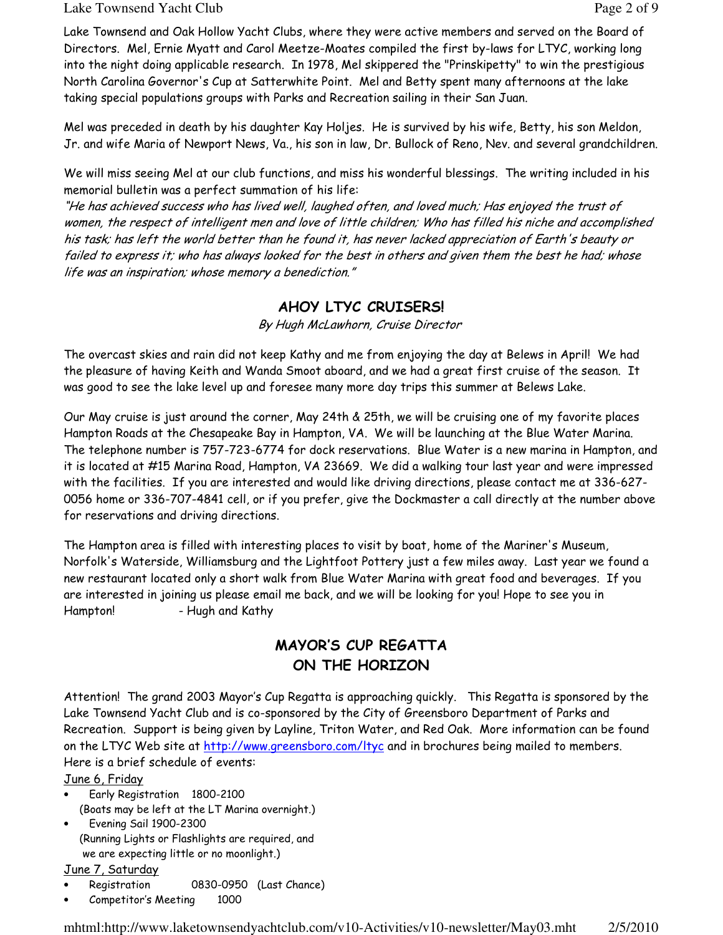## Lake Townsend Yacht Club **Page 2 of 9** and  $P$  and  $P$  and  $P$  and  $P$  and  $P$  and  $P$  and  $P$  and  $P$  and  $P$  and  $P$  and  $P$  and  $P$  and  $P$  and  $P$  and  $P$  and  $P$  and  $P$  and  $P$  and  $P$  and  $P$  and  $P$  and  $P$  and  $P$

Lake Townsend and Oak Hollow Yacht Clubs, where they were active members and served on the Board of Directors. Mel, Ernie Myatt and Carol Meetze-Moates compiled the first by-laws for LTYC, working long into the night doing applicable research. In 1978, Mel skippered the "Prinskipetty" to win the prestigious North Carolina Governor's Cup at Satterwhite Point. Mel and Betty spent many afternoons at the lake taking special populations groups with Parks and Recreation sailing in their San Juan.

Mel was preceded in death by his daughter Kay Holjes. He is survived by his wife, Betty, his son Meldon, Jr. and wife Maria of Newport News, Va., his son in law, Dr. Bullock of Reno, Nev. and several grandchildren.

We will miss seeing Mel at our club functions, and miss his wonderful blessings. The writing included in his memorial bulletin was a perfect summation of his life:

"He has achieved success who has lived well, laughed often, and loved much; Has enjoyed the trust of women, the respect of intelligent men and love of little children; Who has filled his niche and accomplished his task; has left the world better than he found it, has never lacked appreciation of Earth's beauty or failed to express it; who has always looked for the best in others and given them the best he had; whose life was an inspiration; whose memory a benediction."

# AHOY LTYC CRUISERS!

By Hugh McLawhorn, Cruise Director

The overcast skies and rain did not keep Kathy and me from enjoying the day at Belews in April! We had the pleasure of having Keith and Wanda Smoot aboard, and we had a great first cruise of the season. It was good to see the lake level up and foresee many more day trips this summer at Belews Lake.

Our May cruise is just around the corner, May 24th & 25th, we will be cruising one of my favorite places Hampton Roads at the Chesapeake Bay in Hampton, VA. We will be launching at the Blue Water Marina. The telephone number is 757-723-6774 for dock reservations. Blue Water is a new marina in Hampton, and it is located at #15 Marina Road, Hampton, VA 23669. We did a walking tour last year and were impressed with the facilities. If you are interested and would like driving directions, please contact me at 336-627- 0056 home or 336-707-4841 cell, or if you prefer, give the Dockmaster a call directly at the number above for reservations and driving directions.

The Hampton area is filled with interesting places to visit by boat, home of the Mariner's Museum, Norfolk's Waterside, Williamsburg and the Lightfoot Pottery just a few miles away. Last year we found a new restaurant located only a short walk from Blue Water Marina with great food and beverages. If you are interested in joining us please email me back, and we will be looking for you! Hope to see you in Hampton! - Hugh and Kathy

# MAYOR'S CUP REGATTA ON THE HORIZON

Attention! The grand 2003 Mayor's Cup Regatta is approaching quickly. This Regatta is sponsored by the Lake Townsend Yacht Club and is co-sponsored by the City of Greensboro Department of Parks and Recreation. Support is being given by Layline, Triton Water, and Red Oak. More information can be found on the LTYC Web site at http://www.greensboro.com/ltyc and in brochures being mailed to members. Here is a brief schedule of events:

June 6, Friday

- Early Registration 1800-2100 (Boats may be left at the LT Marina overnight.)
- Evening Sail 1900-2300 (Running Lights or Flashlights are required, and we are expecting little or no moonlight.)

## June 7, Saturday

- Registration 0830-0950 (Last Chance)
- Competitor's Meeting 1000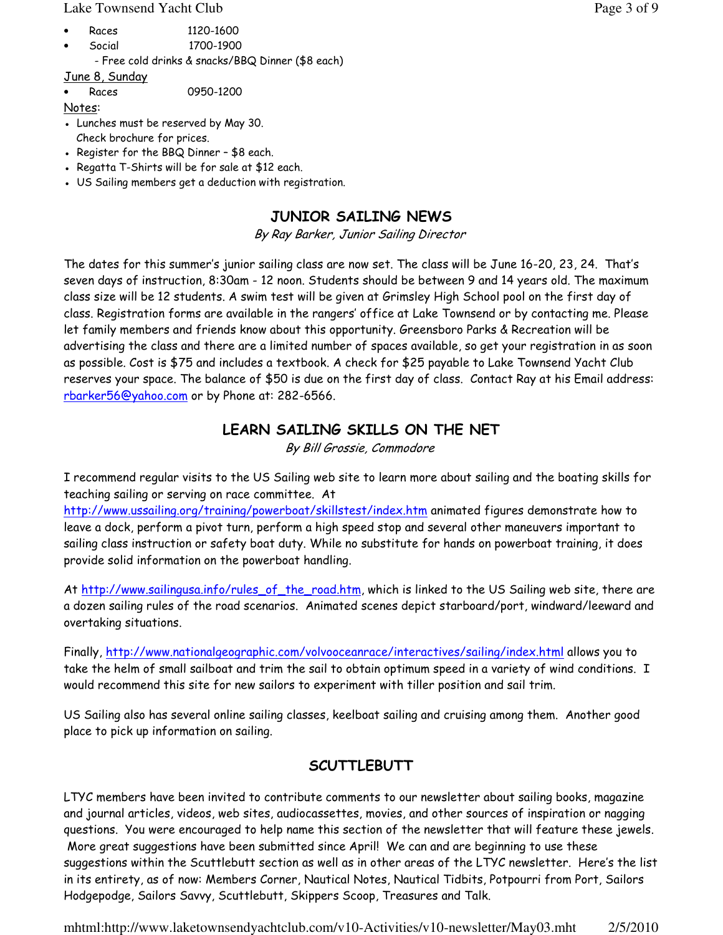#### Lake Townsend Yacht Club **Page 3 of 9** and  $P$  and  $P$  and  $P$  and  $P$  and  $P$  and  $P$  and  $P$  and  $P$  and  $P$  and  $P$  and  $P$  and  $P$  and  $P$  and  $P$  and  $P$  and  $P$  and  $P$  and  $P$  and  $P$  and  $P$  and  $P$  and  $P$  and  $P$

- Races 1120-1600
- Social 1700-1900
- Free cold drinks & snacks/BBQ Dinner (\$8 each)

June 8, Sunday

• Races 0950-1200

Notes:

- Lunches must be reserved by May 30. Check brochure for prices.
- Register for the BBQ Dinner \$8 each.
- Regatta T-Shirts will be for sale at \$12 each.
- US Sailing members get a deduction with registration.

# JUNIOR SAILING NEWS

By Ray Barker, Junior Sailing Director

The dates for this summer's junior sailing class are now set. The class will be June 16-20, 23, 24. That's seven days of instruction, 8:30am - 12 noon. Students should be between 9 and 14 years old. The maximum class size will be 12 students. A swim test will be given at Grimsley High School pool on the first day of class. Registration forms are available in the rangers' office at Lake Townsend or by contacting me. Please let family members and friends know about this opportunity. Greensboro Parks & Recreation will be advertising the class and there are a limited number of spaces available, so get your registration in as soon as possible. Cost is \$75 and includes a textbook. A check for \$25 payable to Lake Townsend Yacht Club reserves your space. The balance of \$50 is due on the first day of class. Contact Ray at his Email address: rbarker56@yahoo.com or by Phone at: 282-6566.

# LEARN SAILING SKILLS ON THE NET

By Bill Grossie, Commodore

I recommend regular visits to the US Sailing web site to learn more about sailing and the boating skills for teaching sailing or serving on race committee. At

http://www.ussailing.org/training/powerboat/skillstest/index.htm animated figures demonstrate how to leave a dock, perform a pivot turn, perform a high speed stop and several other maneuvers important to sailing class instruction or safety boat duty. While no substitute for hands on powerboat training, it does provide solid information on the powerboat handling.

At http://www.sailingusa.info/rules\_of\_the\_road.htm, which is linked to the US Sailing web site, there are a dozen sailing rules of the road scenarios. Animated scenes depict starboard/port, windward/leeward and overtaking situations.

Finally, http://www.nationalgeographic.com/volvooceanrace/interactives/sailing/index.html allows you to take the helm of small sailboat and trim the sail to obtain optimum speed in a variety of wind conditions. I would recommend this site for new sailors to experiment with tiller position and sail trim.

US Sailing also has several online sailing classes, keelboat sailing and cruising among them. Another good place to pick up information on sailing.

# **SCUTTLEBUTT**

LTYC members have been invited to contribute comments to our newsletter about sailing books, magazine and journal articles, videos, web sites, audiocassettes, movies, and other sources of inspiration or nagging questions. You were encouraged to help name this section of the newsletter that will feature these jewels. More great suggestions have been submitted since April! We can and are beginning to use these suggestions within the Scuttlebutt section as well as in other areas of the LTYC newsletter. Here's the list in its entirety, as of now: Members Corner, Nautical Notes, Nautical Tidbits, Potpourri from Port, Sailors Hodgepodge, Sailors Savvy, Scuttlebutt, Skippers Scoop, Treasures and Talk.

mhtml:http://www.laketownsendyachtclub.com/v10-Activities/v10-newsletter/May03.mht 2/5/2010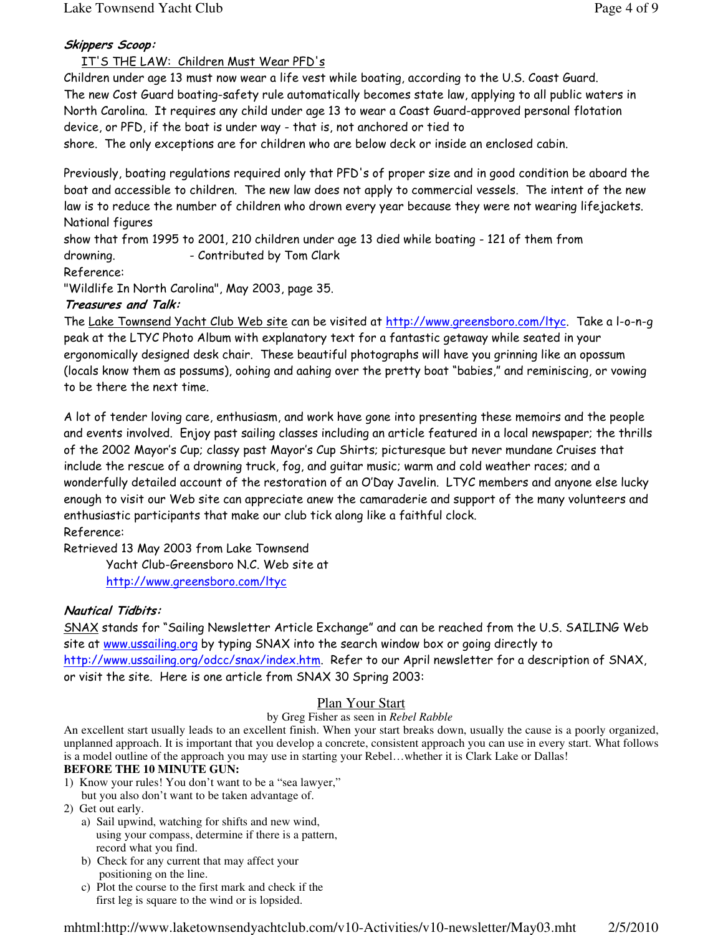# Skippers Scoop:

# IT'S THE LAW: Children Must Wear PFD's

Children under age 13 must now wear a life vest while boating, according to the U.S. Coast Guard. The new Cost Guard boating-safety rule automatically becomes state law, applying to all public waters in North Carolina. It requires any child under age 13 to wear a Coast Guard-approved personal flotation device, or PFD, if the boat is under way - that is, not anchored or tied to

shore. The only exceptions are for children who are below deck or inside an enclosed cabin.

Previously, boating regulations required only that PFD's of proper size and in good condition be aboard the boat and accessible to children. The new law does not apply to commercial vessels. The intent of the new law is to reduce the number of children who drown every year because they were not wearing lifejackets. National figures

show that from 1995 to 2001, 210 children under age 13 died while boating - 121 of them from drowning. - Contributed by Tom Clark

Reference:

"Wildlife In North Carolina", May 2003, page 35.

## Treasures and Talk:

The Lake Townsend Yacht Club Web site can be visited at http://www.greensboro.com/ltyc. Take a l-o-n-g peak at the LTYC Photo Album with explanatory text for a fantastic getaway while seated in your ergonomically designed desk chair. These beautiful photographs will have you grinning like an opossum (locals know them as possums), oohing and aahing over the pretty boat "babies," and reminiscing, or vowing to be there the next time.

A lot of tender loving care, enthusiasm, and work have gone into presenting these memoirs and the people and events involved. Enjoy past sailing classes including an article featured in a local newspaper; the thrills of the 2002 Mayor's Cup; classy past Mayor's Cup Shirts; picturesque but never mundane Cruises that include the rescue of a drowning truck, fog, and guitar music; warm and cold weather races; and a wonderfully detailed account of the restoration of an O'Day Javelin. LTYC members and anyone else lucky enough to visit our Web site can appreciate anew the camaraderie and support of the many volunteers and enthusiastic participants that make our club tick along like a faithful clock. Reference:

Retrieved 13 May 2003 from Lake Townsend Yacht Club-Greensboro N.C. Web site at http://www.greensboro.com/ltyc

## Nautical Tidbits:

SNAX stands for "Sailing Newsletter Article Exchange" and can be reached from the U.S. SAILING Web site at www.ussailing.org by typing SNAX into the search window box or going directly to http://www.ussailing.org/odcc/snax/index.htm. Refer to our April newsletter for a description of SNAX, or visit the site. Here is one article from SNAX 30 Spring 2003:

## Plan Your Start

## by Greg Fisher as seen in *Rebel Rabble*

An excellent start usually leads to an excellent finish. When your start breaks down, usually the cause is a poorly organized, unplanned approach. It is important that you develop a concrete, consistent approach you can use in every start. What follows is a model outline of the approach you may use in starting your Rebel…whether it is Clark Lake or Dallas!

## **BEFORE THE 10 MINUTE GUN:**

- 1) Know your rules! You don't want to be a "sea lawyer,"
- but you also don't want to be taken advantage of.
- 2) Get out early.
	- a) Sail upwind, watching for shifts and new wind, using your compass, determine if there is a pattern, record what you find.
	- b) Check for any current that may affect your positioning on the line.
	- c) Plot the course to the first mark and check if the first leg is square to the wind or is lopsided.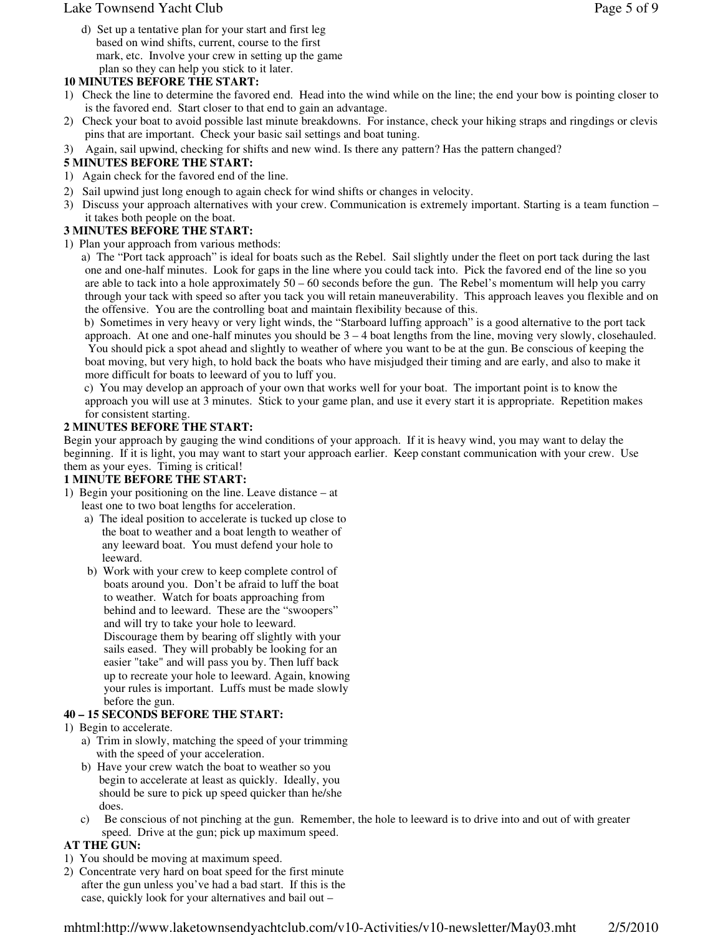## Lake Townsend Yacht Club **Page 5 of 9** and  $P$  and  $P$  and  $P$  and  $P$  and  $P$  and  $P$  and  $P$  and  $P$  and  $P$  and  $P$  and  $P$  and  $P$  and  $P$  and  $P$  and  $P$  and  $P$  and  $P$  and  $P$  and  $P$  and  $P$  and  $P$  and  $P$  and  $P$

 d) Set up a tentative plan for your start and first leg based on wind shifts, current, course to the first mark, etc. Involve your crew in setting up the game plan so they can help you stick to it later.

## **10 MINUTES BEFORE THE START:**

- 1) Check the line to determine the favored end. Head into the wind while on the line; the end your bow is pointing closer to is the favored end. Start closer to that end to gain an advantage.
- 2) Check your boat to avoid possible last minute breakdowns. For instance, check your hiking straps and ringdings or clevis pins that are important. Check your basic sail settings and boat tuning.
- 3) Again, sail upwind, checking for shifts and new wind. Is there any pattern? Has the pattern changed?

## **5 MINUTES BEFORE THE START:**

- 1) Again check for the favored end of the line.
- 2) Sail upwind just long enough to again check for wind shifts or changes in velocity.
- 3) Discuss your approach alternatives with your crew. Communication is extremely important. Starting is a team function it takes both people on the boat.

## **3 MINUTES BEFORE THE START:**

1) Plan your approach from various methods:

 a) The "Port tack approach" is ideal for boats such as the Rebel. Sail slightly under the fleet on port tack during the last one and one-half minutes. Look for gaps in the line where you could tack into. Pick the favored end of the line so you are able to tack into a hole approximately 50 – 60 seconds before the gun. The Rebel's momentum will help you carry through your tack with speed so after you tack you will retain maneuverability. This approach leaves you flexible and on the offensive. You are the controlling boat and maintain flexibility because of this.

 b) Sometimes in very heavy or very light winds, the "Starboard luffing approach" is a good alternative to the port tack approach. At one and one-half minutes you should be  $3 - 4$  boat lengths from the line, moving very slowly, closehauled. You should pick a spot ahead and slightly to weather of where you want to be at the gun. Be conscious of keeping the boat moving, but very high, to hold back the boats who have misjudged their timing and are early, and also to make it more difficult for boats to leeward of you to luff you.

 c) You may develop an approach of your own that works well for your boat. The important point is to know the approach you will use at 3 minutes. Stick to your game plan, and use it every start it is appropriate. Repetition makes for consistent starting.

## **2 MINUTES BEFORE THE START:**

Begin your approach by gauging the wind conditions of your approach. If it is heavy wind, you may want to delay the beginning. If it is light, you may want to start your approach earlier. Keep constant communication with your crew. Use them as your eyes. Timing is critical!

## **1 MINUTE BEFORE THE START:**

- 1) Begin your positioning on the line. Leave distance at least one to two boat lengths for acceleration.
	- a) The ideal position to accelerate is tucked up close to the boat to weather and a boat length to weather of any leeward boat. You must defend your hole to leeward.
	- b) Work with your crew to keep complete control of boats around you. Don't be afraid to luff the boat to weather. Watch for boats approaching from behind and to leeward. These are the "swoopers" and will try to take your hole to leeward. Discourage them by bearing off slightly with your sails eased. They will probably be looking for an easier "take" and will pass you by. Then luff back up to recreate your hole to leeward. Again, knowing your rules is important. Luffs must be made slowly before the gun.

## **40 – 15 SECONDS BEFORE THE START:**

- 1) Begin to accelerate.
	- a) Trim in slowly, matching the speed of your trimming with the speed of your acceleration.
	- b) Have your crew watch the boat to weather so you begin to accelerate at least as quickly. Ideally, you should be sure to pick up speed quicker than he/she does.
	- c) Be conscious of not pinching at the gun. Remember, the hole to leeward is to drive into and out of with greater speed. Drive at the gun; pick up maximum speed.

## **AT THE GUN:**

- 1) You should be moving at maximum speed.
- 2) Concentrate very hard on boat speed for the first minute after the gun unless you've had a bad start. If this is the case, quickly look for your alternatives and bail out –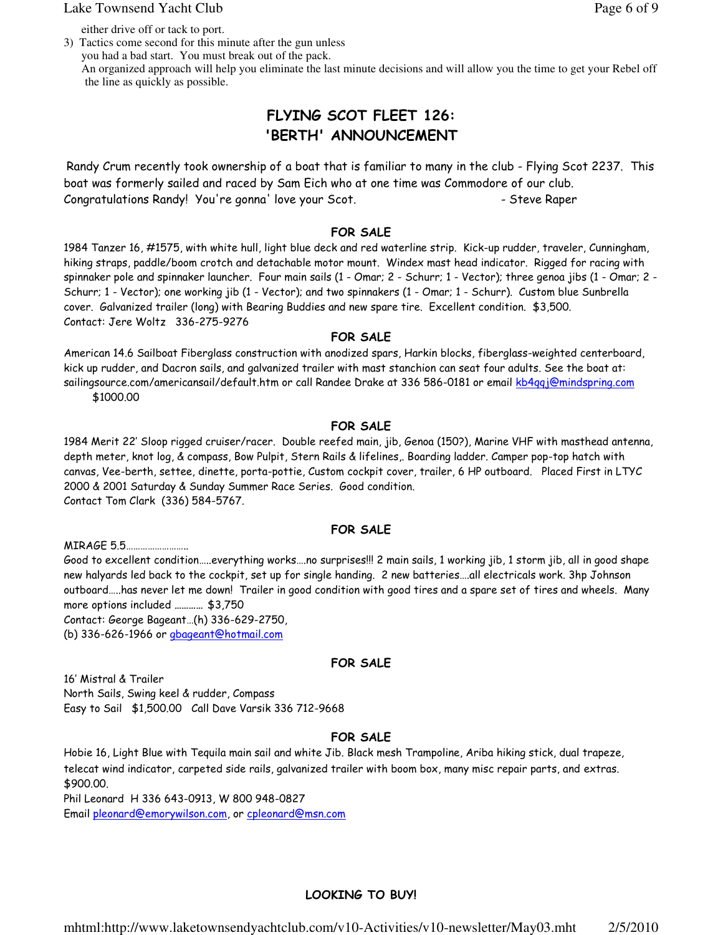#### Lake Townsend Yacht Club **Page 6 of 9** and  $P$  and  $P$  and  $P$  and  $P$  and  $P$  and  $P$  and  $P$  and  $P$  and  $P$  and  $P$  and  $P$  and  $P$  and  $P$  and  $P$  and  $P$  and  $P$  and  $P$  and  $P$  and  $P$  and  $P$  and  $P$  and  $P$  and  $P$

either drive off or tack to port.

3) Tactics come second for this minute after the gun unless you had a bad start. You must break out of the pack. An organized approach will help you eliminate the last minute decisions and will allow you the time to get your Rebel off the line as quickly as possible.

# FLYING SCOT FLEET 126: 'BERTH' ANNOUNCEMENT

Randy Crum recently took ownership of a boat that is familiar to many in the club - Flying Scot 2237. This boat was formerly sailed and raced by Sam Eich who at one time was Commodore of our club. Congratulations Randy! You're gonna' love your Scot. - Steve Raper

## FOR SALE

1984 Tanzer 16, #1575, with white hull, light blue deck and red waterline strip. Kick-up rudder, traveler, Cunningham, hiking straps, paddle/boom crotch and detachable motor mount. Windex mast head indicator. Rigged for racing with spinnaker pole and spinnaker launcher. Four main sails (1 - Omar; 2 - Schurr; 1 - Vector); three genoa jibs (1 - Omar; 2 - Schurr; 1 - Vector); one working jib (1 - Vector); and two spinnakers (1 - Omar; 1 - Schurr). Custom blue Sunbrella cover. Galvanized trailer (long) with Bearing Buddies and new spare tire. Excellent condition. \$3,500. Contact: Jere Woltz 336-275-9276

## FOR SALE

American 14.6 Sailboat Fiberglass construction with anodized spars, Harkin blocks, fiberglass-weighted centerboard, kick up rudder, and Dacron sails, and galvanized trailer with mast stanchion can seat four adults. See the boat at: sailingsource.com/americansail/default.htm or call Randee Drake at 336 586-0181 or email kb4qqj@mindspring.com \$1000.00

## FOR SALE

1984 Merit 22' Sloop rigged cruiser/racer. Double reefed main, jib, Genoa (150?), Marine VHF with masthead antenna, depth meter, knot log, & compass, Bow Pulpit, Stern Rails & lifelines,. Boarding ladder. Camper pop-top hatch with canvas, Vee-berth, settee, dinette, porta-pottie, Custom cockpit cover, trailer, 6 HP outboard. Placed First in LTYC 2000 & 2001 Saturday & Sunday Summer Race Series. Good condition. Contact Tom Clark (336) 584-5767.

## FOR SALE

MIRAGE 5.5…………………….. Good to excellent condition…..everything works….no surprises!!! 2 main sails, 1 working jib, 1 storm jib, all in good shape new halyards led back to the cockpit, set up for single handing. 2 new batteries….all electricals work. 3hp Johnson outboard…..has never let me down! Trailer in good condition with good tires and a spare set of tires and wheels. Many more options included ………… \$3,750 Contact: George Bageant…(h) 336-629-2750, (b) 336-626-1966 or gbageant@hotmail.com

## FOR SALE

16' Mistral & Trailer North Sails, Swing keel & rudder, Compass Easy to Sail \$1,500.00 Call Dave Varsik 336 712-9668

## FOR SALE

Hobie 16, Light Blue with Tequila main sail and white Jib. Black mesh Trampoline, Ariba hiking stick, dual trapeze, telecat wind indicator, carpeted side rails, galvanized trailer with boom box, many misc repair parts, and extras. \$900.00. Phil Leonard H 336 643-0913, W 800 948-0827

Email pleonard@emorywilson.com, or cpleonard@msn.com

## LOOKING TO BUY!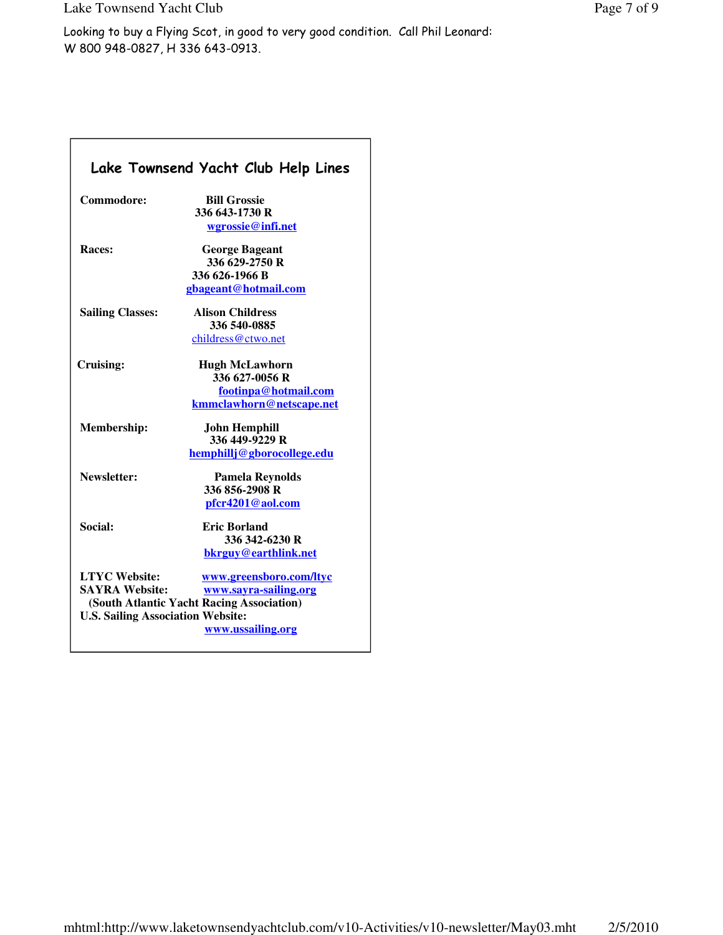|                                                                                           | Lake Townsend Yacht Club Help Lines                                                                                |
|-------------------------------------------------------------------------------------------|--------------------------------------------------------------------------------------------------------------------|
| Commodore:                                                                                | <b>Bill Grossie</b><br>336 643-1730 R<br>wgrossie@infi.net                                                         |
| <b>Races:</b>                                                                             | <b>George Bageant</b><br>336 629-2750 R<br>336 626-1966 B<br>gbageant@hotmail.com                                  |
| <b>Sailing Classes:</b>                                                                   | <b>Alison Childress</b><br>336 540-0885<br>childress@ctwo.net                                                      |
| Cruising:                                                                                 | <b>Hugh McLawhorn</b><br>336 627-0056 R<br>footinpa@hotmail.com                                                    |
| Membership:                                                                               | kmmclawhorn@netscape.net<br><b>John Hemphill</b><br>336 449-9229 R<br>hemphillj@gborocollege.edu                   |
| Newsletter:                                                                               | <b>Pamela Reynolds</b><br>336 856-2908 R<br>pfcr4201@aol.com                                                       |
| Social:                                                                                   | <b>Eric Borland</b><br>336 342-6230 R<br>bkrguy@earthlink.net                                                      |
| <b>LTYC Website:</b><br><b>SAYRA Website:</b><br><b>U.S. Sailing Association Website:</b> | www.greensboro.com/ltyc<br>www.sayra-sailing.org<br>(South Atlantic Yacht Racing Association)<br>www.ussailing.org |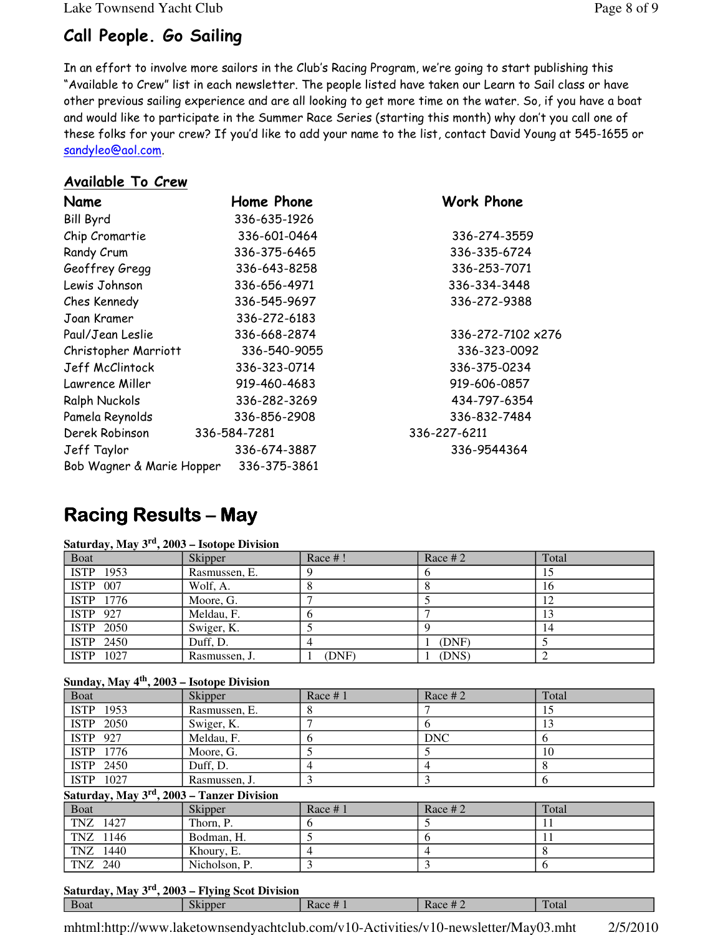Lake Townsend Yacht Club Page 8 of 9

# Call People. Go Sailing

In an effort to involve more sailors in the Club's Racing Program, we're going to start publishing this "Available to Crew" list in each newsletter. The people listed have taken our Learn to Sail class or have other previous sailing experience and are all looking to get more time on the water. So, if you have a boat and would like to participate in the Summer Race Series (starting this month) why don't you call one of these folks for your crew? If you'd like to add your name to the list, contact David Young at 545-1655 or sandyleo@aol.com.

# Available To Crew

| Name                      | Home Phone   | Work Phone        |
|---------------------------|--------------|-------------------|
| <b>Bill Byrd</b>          | 336-635-1926 |                   |
| Chip Cromartie            | 336-601-0464 | 336-274-3559      |
| Randy Crum                | 336-375-6465 | 336-335-6724      |
| Geoffrey Gregg            | 336-643-8258 | 336-253-7071      |
| Lewis Johnson             | 336-656-4971 | 336-334-3448      |
| Ches Kennedy              | 336-545-9697 | 336-272-9388      |
| Joan Kramer               | 336-272-6183 |                   |
| Paul/Jean Leslie          | 336-668-2874 | 336-272-7102 x276 |
| Christopher Marriott      | 336-540-9055 | 336-323-0092      |
| Jeff McClintock           | 336-323-0714 | 336-375-0234      |
| Lawrence Miller           | 919-460-4683 | 919-606-0857      |
| Ralph Nuckols             | 336-282-3269 | 434-797-6354      |
| Pamela Reynolds           | 336-856-2908 | 336-832-7484      |
| Derek Robinson            | 336-584-7281 | 336-227-6211      |
| Jeff Taylor               | 336-674-3887 | 336-9544364       |
| Bob Wagner & Marie Hopper | 336-375-3861 |                   |

# **Racing Results – May**

## **Saturday, May 3rd, 2003 – Isotope Division**

| <b>Boat</b> | Skipper       | Race #! | Race $#2$ | Total |
|-------------|---------------|---------|-----------|-------|
| ISTP 1953   | Rasmussen, E. |         |           | 15    |
| ISTP 007    | Wolf, A.      |         |           | 16    |
| ISTP 1776   | Moore, G.     |         |           | 12    |
| ISTP 927    | Meldau, F.    |         |           |       |
| ISTP 2050   | Swiger, K.    |         |           | 14    |
| ISTP 2450   | Duff, D.      |         | (DNF)     |       |
| ISTP 1027   | Rasmussen, J. | (DNF)   | (DNS)     |       |

## **Sunday, May 4th, 2003 – Isotope Division**

| Boat            | Skipper                                                | Race $# 1$         | Race $#2$  | Total |
|-----------------|--------------------------------------------------------|--------------------|------------|-------|
| ISTP 1953       |                                                        | Rasmussen, E.<br>8 |            | 15    |
| ISTP 2050       | Swiger, K.                                             |                    | 6          | 13    |
| <b>ISTP</b> 927 | Meldau, F.                                             | 6                  | <b>DNC</b> | 6     |
| ISTP 1776       | Moore, G.                                              |                    |            | 10    |
| ISTP 2450       | Duff, D.                                               | 4                  | 4          |       |
| ISTP 1027       |                                                        | Rasmussen, J.<br>3 | 3          | 6     |
|                 | Saturday, May 3 <sup>rd</sup> , 2003 - Tanzer Division |                    |            |       |
| Boat            | Skipper                                                | Race $# 1$         | Race $#2$  | Total |
| TNZ 1427        | Thorn, P.                                              | 6                  |            | 11    |
| TNZ 1146        | Bodman, H.                                             |                    | 6          | 11    |
| TNZ 1440        | Khoury, E.                                             | 4                  |            | 8     |
| TNZ 240         |                                                        | Nicholson, P.<br>3 | 3          | 6     |

## **Saturday, May 3rd, 2003 – Flying Scot Division**

| <b>Boat</b> | <b>START</b><br>nner<br>. . | $\cdots$<br>$\mu$ acc $\pi$ i<br>. . | $\cdots$<br>$\Omega$<br>п.<br>$\pi$ $\sim$ | œ<br>Utal |
|-------------|-----------------------------|--------------------------------------|--------------------------------------------|-----------|
|             |                             |                                      |                                            |           |

mhtml:http://www.laketownsendyachtclub.com/v10-Activities/v10-newsletter/May03.mht 2/5/2010